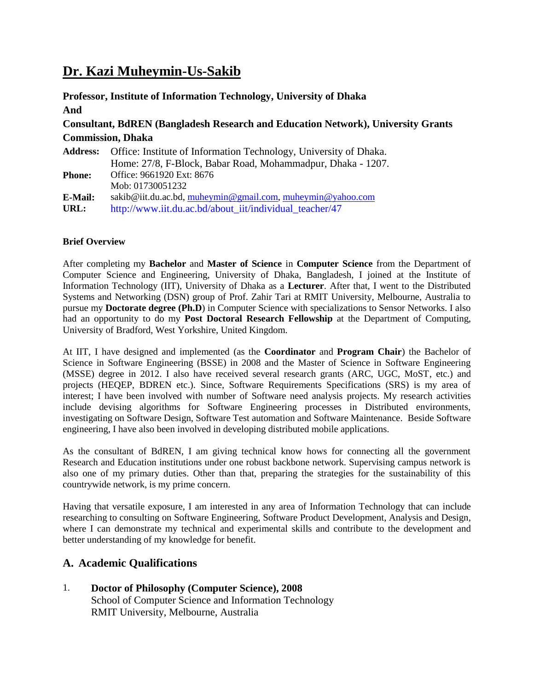# **Dr. Kazi Muheymin-Us-Sakib**

**Professor, Institute of Information Technology, University of Dhaka And Consultant, BdREN (Bangladesh Research and Education Network), University Grants Commission, Dhaka Address:** Office: Institute of Information Technology, University of Dhaka. Home: 27/8, F-Block, Babar Road, Mohammadpur, Dhaka - 1207. **Phone:** Office: 9661920 Ext: 8676 Mob: 01730051232

**E-Mail:** sakib@iit.du.ac.bd, [muheymin@gmail.com,](mailto:muheymin@gmail.com) [muheymin@yahoo.com](mailto:muheymin@yahoo.com)

URL: http://www.iit.du.ac.bd/about\_iit/individual\_teacher/47

#### **Brief Overview**

After completing my **Bachelor** and **Master of Science** in **Computer Science** from the Department of Computer Science and Engineering, University of Dhaka, Bangladesh, I joined at the Institute of Information Technology (IIT), University of Dhaka as a **Lecturer**. After that, I went to the Distributed Systems and Networking (DSN) group of Prof. Zahir Tari at RMIT University, Melbourne, Australia to pursue my **Doctorate degree (Ph.D**) in Computer Science with specializations to Sensor Networks. I also had an opportunity to do my **Post Doctoral Research Fellowship** at the Department of Computing, University of Bradford, West Yorkshire, United Kingdom.

At IIT, I have designed and implemented (as the **Coordinator** and **Program Chair**) the Bachelor of Science in Software Engineering (BSSE) in 2008 and the Master of Science in Software Engineering (MSSE) degree in 2012. I also have received several research grants (ARC, UGC, MoST, etc.) and projects (HEQEP, BDREN etc.). Since, Software Requirements Specifications (SRS) is my area of interest; I have been involved with number of Software need analysis projects. My research activities include devising algorithms for Software Engineering processes in Distributed environments, investigating on Software Design, Software Test automation and Software Maintenance. Beside Software engineering, I have also been involved in developing distributed mobile applications.

As the consultant of BdREN, I am giving technical know hows for connecting all the government Research and Education institutions under one robust backbone network. Supervising campus network is also one of my primary duties. Other than that, preparing the strategies for the sustainability of this countrywide network, is my prime concern.

Having that versatile exposure, I am interested in any area of Information Technology that can include researching to consulting on Software Engineering, Software Product Development, Analysis and Design, where I can demonstrate my technical and experimental skills and contribute to the development and better understanding of my knowledge for benefit.

# **A. Academic Qualifications**

1. **Doctor of Philosophy (Computer Science), 2008** School of Computer Science and Information Technology RMIT University, Melbourne, Australia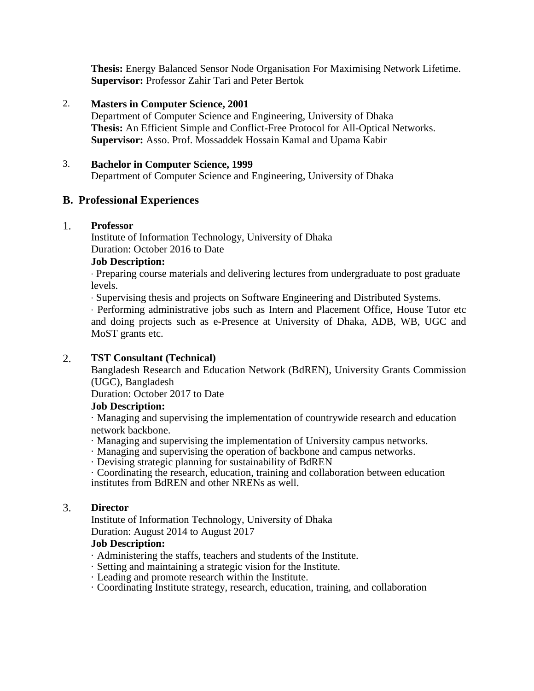**Thesis:** Energy Balanced Sensor Node Organisation For Maximising Network Lifetime. **Supervisor:** Professor Zahir Tari and Peter Bertok

# 2. **Masters in Computer Science, 2001**

Department of Computer Science and Engineering, University of Dhaka **Thesis:** An Efficient Simple and Conflict-Free Protocol for All-Optical Networks. **Supervisor:** Asso. Prof. Mossaddek Hossain Kamal and Upama Kabir

## 3. **Bachelor in Computer Science, 1999**

Department of Computer Science and Engineering, University of Dhaka

# **B. Professional Experiences**

#### 1. **Professor**

Institute of Information Technology, University of Dhaka Duration: October 2016 to Date

# **Job Description:**

· Preparing course materials and delivering lectures from undergraduate to post graduate levels.

· Supervising thesis and projects on Software Engineering and Distributed Systems.

· Performing administrative jobs such as Intern and Placement Office, House Tutor etc and doing projects such as e-Presence at University of Dhaka, ADB, WB, UGC and MoST grants etc.

# 2. **TST Consultant (Technical)**

Bangladesh Research and Education Network (BdREN), University Grants Commission (UGC), Bangladesh

Duration: October 2017 to Date

# **Job Description:**

· Managing and supervising the implementation of countrywide research and education network backbone.

· Managing and supervising the implementation of University campus networks.

· Managing and supervising the operation of backbone and campus networks.

· Devising strategic planning for sustainability of BdREN

· Coordinating the research, education, training and collaboration between education institutes from BdREN and other NRENs as well.

#### 3. **Director**

Institute of Information Technology, University of Dhaka Duration: August 2014 to August 2017

# **Job Description:**

- · Administering the staffs, teachers and students of the Institute.
- · Setting and maintaining a strategic vision for the Institute.
- · Leading and promote research within the Institute.
- · Coordinating Institute strategy, research, education, training, and collaboration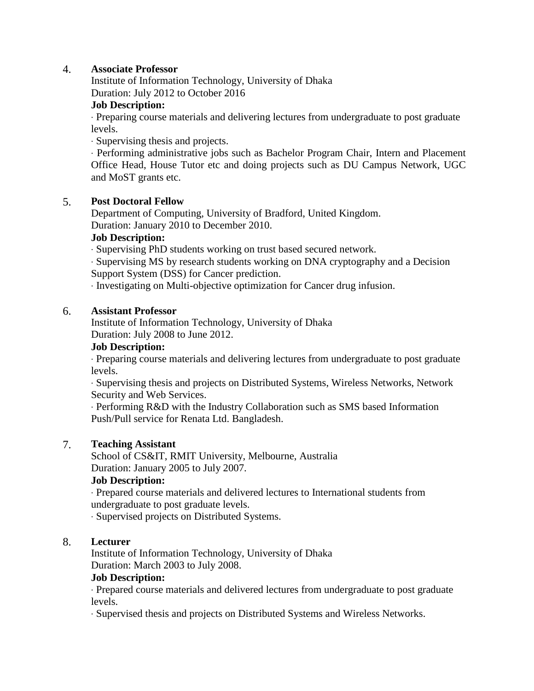# 4. **Associate Professor**

Institute of Information Technology, University of Dhaka Duration: July 2012 to October 2016

## **Job Description:**

· Preparing course materials and delivering lectures from undergraduate to post graduate levels.

· Supervising thesis and projects.

· Performing administrative jobs such as Bachelor Program Chair, Intern and Placement Office Head, House Tutor etc and doing projects such as DU Campus Network, UGC and MoST grants etc.

# 5. **Post Doctoral Fellow**

Department of Computing, University of Bradford, United Kingdom. Duration: January 2010 to December 2010.

#### **Job Description:**

· Supervising PhD students working on trust based secured network.

· Supervising MS by research students working on DNA cryptography and a Decision Support System (DSS) for Cancer prediction.

· Investigating on Multi-objective optimization for Cancer drug infusion.

#### 6. **Assistant Professor**

Institute of Information Technology, University of Dhaka Duration: July 2008 to June 2012.

#### **Job Description:**

· Preparing course materials and delivering lectures from undergraduate to post graduate levels.

· Supervising thesis and projects on Distributed Systems, Wireless Networks, Network Security and Web Services.

· Performing R&D with the Industry Collaboration such as SMS based Information Push/Pull service for Renata Ltd. Bangladesh.

#### 7. **Teaching Assistant**

School of CS&IT, RMIT University, Melbourne, Australia Duration: January 2005 to July 2007.

# **Job Description:**

· Prepared course materials and delivered lectures to International students from undergraduate to post graduate levels.

· Supervised projects on Distributed Systems.

#### 8. **Lecturer**

Institute of Information Technology, University of Dhaka Duration: March 2003 to July 2008.

#### **Job Description:**

· Prepared course materials and delivered lectures from undergraduate to post graduate levels.

· Supervised thesis and projects on Distributed Systems and Wireless Networks.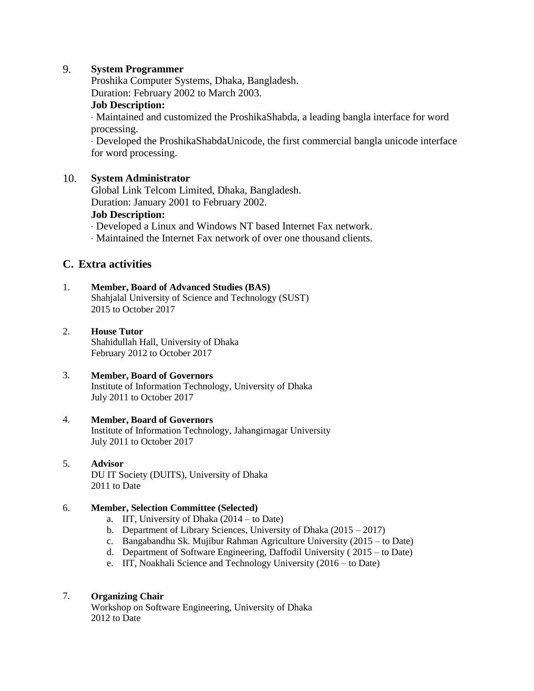# 9. **System Programmer**

Proshika Computer Systems, Dhaka, Bangladesh. Duration: February 2002 to March 2003.

#### **Job Description:**

· Maintained and customized the ProshikaShabda, a leading bangla interface for word processing.

· Developed the ProshikaShabdaUnicode, the first commercial bangla unicode interface for word processing.

#### 10. **System Administrator**

Global Link Telcom Limited, Dhaka, Bangladesh. Duration: January 2001 to February 2002.

#### **Job Description:**

· Developed a Linux and Windows NT based Internet Fax network.

· Maintained the Internet Fax network of over one thousand clients.

# **C. Extra activities**

#### 1. **Member, Board of Advanced Studies (BAS)**

Shahjalal University of Science and Technology (SUST) 2015 to October 2017

#### 2. **House Tutor**

Shahidullah Hall, University of Dhaka February 2012 to October 2017

#### 3. **Member, Board of Governors**

Institute of Information Technology, University of Dhaka July 2011 to October 2017

#### 4. **Member, Board of Governors**

Institute of Information Technology, Jahangirnagar University July 2011 to October 2017

#### 5. **Advisor**

DU IT Society (DUITS), University of Dhaka 2011 to Date

#### 6. **Member, Selection Committee (Selected)**

- a. IIT, University of Dhaka (2014 to Date)
- b. Department of Library Sciences, University of Dhaka (2015 2017)
- c. Bangabandhu Sk. Mujibur Rahman Agriculture University (2015 to Date)
- d. Department of Software Engineering, Daffodil University ( 2015 to Date)
- e. IIT, Noakhali Science and Technology University (2016 to Date)

#### 7. **Organizing Chair**

Workshop on Software Engineering, University of Dhaka 2012 to Date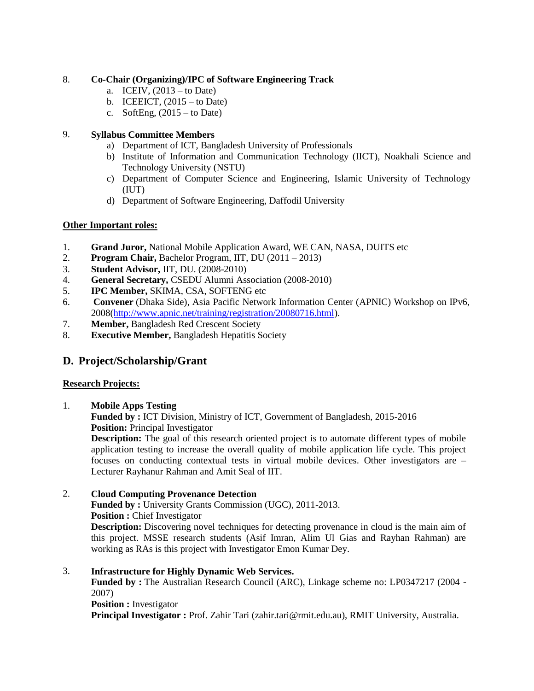### 8. **Co-Chair (Organizing)/IPC of Software Engineering Track**

- a. ICEIV,  $(2013 -$ to Date)
- b. ICEEICT,  $(2015 -$ to Date)
- c. SoftEng,  $(2015 -$ to Date)

# 9. **Syllabus Committee Members**

- a) Department of ICT, Bangladesh University of Professionals
- b) Institute of Information and Communication Technology (IICT), Noakhali Science and Technology University (NSTU)
- c) Department of Computer Science and Engineering, Islamic University of Technology (IUT)
- d) Department of Software Engineering, Daffodil University

#### **Other Important roles:**

- 1. **Grand Juror,** National Mobile Application Award, WE CAN, NASA, DUITS etc
- 2. **Program Chair,** Bachelor Program, IIT, DU (2011 2013)
- 3. **Student Advisor,** IIT, DU. (2008-2010)
- 4. **General Secretary,** CSEDU Alumni Association (2008-2010)
- 5. **IPC Member,** SKIMA, CSA, SOFTENG etc
- 6. **Convener** (Dhaka Side), Asia Pacific Network Information Center (APNIC) Workshop on IPv6, 2008[\(http://www.apnic.net/training/registration/20080716.html\)](http://www.apnic.net/training/registration/20080716.html).
- 7. **Member,** Bangladesh Red Crescent Society
- 8. **Executive Member,** Bangladesh Hepatitis Society

# **D. Project/Scholarship/Grant**

#### **Research Projects:**

#### 1. **Mobile Apps Testing**

**Funded by :** ICT Division, Ministry of ICT, Government of Bangladesh, 2015-2016 **Position:** Principal Investigator

**Description:** The goal of this research oriented project is to automate different types of mobile application testing to increase the overall quality of mobile application life cycle. This project focuses on conducting contextual tests in virtual mobile devices. Other investigators are – Lecturer Rayhanur Rahman and Amit Seal of IIT.

# 2. **Cloud Computing Provenance Detection**

**Funded by :** University Grants Commission (UGC), 2011-2013. **Position :** Chief Investigator

**Description:** Discovering novel techniques for detecting provenance in cloud is the main aim of this project. MSSE research students (Asif Imran, Alim Ul Gias and Rayhan Rahman) are working as RAs is this project with Investigator Emon Kumar Dey.

#### 3. **Infrastructure for Highly Dynamic Web Services.**

**Funded by :** The Australian Research Council (ARC), Linkage scheme no: LP0347217 (2004 - 2007)

#### **Position :** Investigator

**Principal Investigator :** Prof. Zahir Tari (zahir.tari@rmit.edu.au), RMIT University, Australia.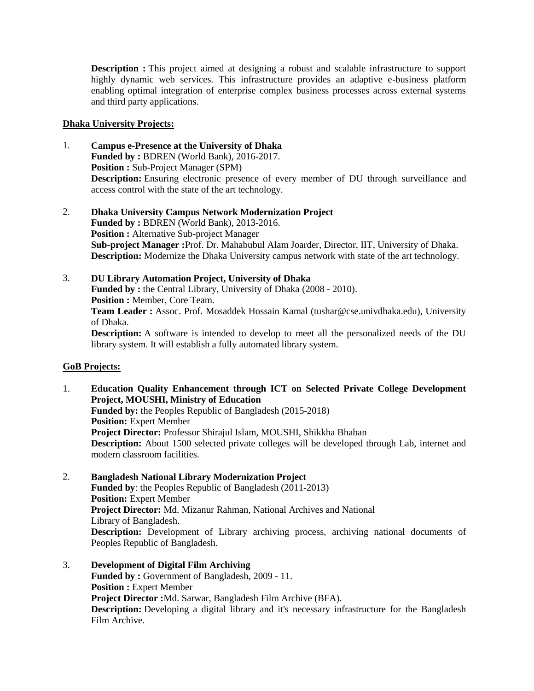**Description :** This project aimed at designing a robust and scalable infrastructure to support highly dynamic web services. This infrastructure provides an adaptive e-business platform enabling optimal integration of enterprise complex business processes across external systems and third party applications.

#### **Dhaka University Projects:**

- 1. **Campus e-Presence at the University of Dhaka Funded by :** BDREN (World Bank), 2016-2017. **Position :** Sub-Project Manager (SPM) **Description:** Ensuring electronic presence of every member of DU through surveillance and access control with the state of the art technology.
- 2. **Dhaka University Campus Network Modernization Project Funded by :** BDREN (World Bank), 2013-2016. **Position :** Alternative Sub-project Manager **Sub-project Manager :**Prof. Dr. Mahabubul Alam Joarder, Director, IIT, University of Dhaka. **Description:** Modernize the Dhaka University campus network with state of the art technology.
- 3. **DU Library Automation Project, University of Dhaka Funded by :** the Central Library, University of Dhaka (2008 - 2010). **Position :** Member, Core Team. **Team Leader :** Assoc. Prof. Mosaddek Hossain Kamal (tushar@cse.univdhaka.edu), University of Dhaka. **Description:** A software is intended to develop to meet all the personalized needs of the DU library system. It will establish a fully automated library system.

#### **GoB Projects:**

- 1. **Education Quality Enhancement through ICT on Selected Private College Development Project, MOUSHI, Ministry of Education Funded by:** the Peoples Republic of Bangladesh (2015-2018) **Position:** Expert Member **Project Director:** Professor Shirajul Islam, MOUSHI, Shikkha Bhaban **Description:** About 1500 selected private colleges will be developed through Lab, internet and modern classroom facilities.
- 2. **Bangladesh National Library Modernization Project Funded by**: the Peoples Republic of Bangladesh (2011-2013) **Position:** Expert Member **Project Director:** Md. Mizanur Rahman, National Archives and National Library of Bangladesh. **Description:** Development of Library archiving process, archiving national documents of Peoples Republic of Bangladesh.
- 3. **Development of Digital Film Archiving Funded by :** Government of Bangladesh, 2009 - 11. **Position :** Expert Member **Project Director :**Md. Sarwar, Bangladesh Film Archive (BFA). **Description:** Developing a digital library and it's necessary infrastructure for the Bangladesh Film Archive.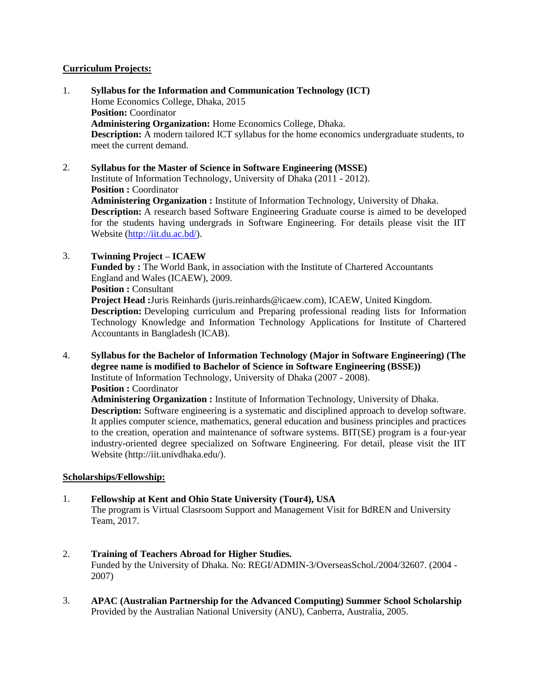#### **Curriculum Projects:**

1. **Syllabus for the Information and Communication Technology (ICT)** Home Economics College, Dhaka, 2015 **Position:** Coordinator **Administering Organization:** Home Economics College, Dhaka. **Description:** A modern tailored ICT syllabus for the home economics undergraduate students, to meet the current demand.

2. **Syllabus for the Master of Science in Software Engineering (MSSE)** Institute of Information Technology, University of Dhaka (2011 - 2012). **Position :** Coordinator **Administering Organization :** Institute of Information Technology, University of Dhaka. **Description:** A research based Software Engineering Graduate course is aimed to be developed for the students having undergrads in Software Engineering. For details please visit the IIT Website [\(http://iit.du.ac.bd/\)](http://iit.du.ac.bd/).

3. **Twinning Project – ICAEW**

**Funded by :** The World Bank, in association with the Institute of Chartered Accountants England and Wales (ICAEW), 2009.

**Position :** Consultant

**Project Head :**Juris Reinhards (juris.reinhards@icaew.com), ICAEW, United Kingdom. **Description:** Developing curriculum and Preparing professional reading lists for Information Technology Knowledge and Information Technology Applications for Institute of Chartered Accountants in Bangladesh (ICAB).

4. **Syllabus for the Bachelor of Information Technology (Major in Software Engineering) (The degree name is modified to Bachelor of Science in Software Engineering (BSSE))** Institute of Information Technology, University of Dhaka (2007 - 2008). **Position :** Coordinator

**Administering Organization :** Institute of Information Technology, University of Dhaka. **Description:** Software engineering is a systematic and disciplined approach to develop software. It applies computer science, mathematics, general education and business principles and practices to the creation, operation and maintenance of software systems. BIT(SE) program is a four-year industry-oriented degree specialized on Software Engineering. For detail, please visit the IIT Website (http://iit.univdhaka.edu/).

#### **Scholarships/Fellowship:**

- 1. **Fellowship at Kent and Ohio State University (Tour4), USA** The program is Virtual Clasrsoom Support and Management Visit for BdREN and University Team, 2017.
- 2. **Training of Teachers Abroad for Higher Studies.** Funded by the University of Dhaka. No: REGI/ADMIN-3/OverseasSchol./2004/32607. (2004 - 2007)
- 3. **APAC (Australian Partnership for the Advanced Computing) Summer School Scholarship** Provided by the Australian National University (ANU), Canberra, Australia, 2005.